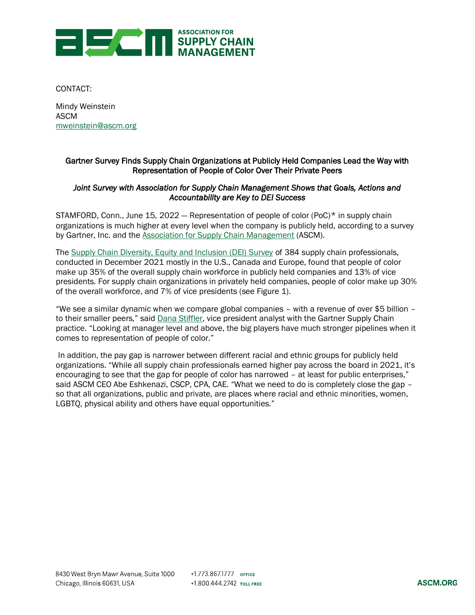

CONTACT:

Mindy Weinstein ASCM [mweinstein@ascm.org](https://apicshq-my.sharepoint.com/personal/kmunroe_ascm_org/Documents/Desktop/ASCM%20Corp/mweinstein@ascm.org)

# Gartner Survey Finds Supply Chain Organizations at Publicly Held Companies Lead the Way with Representation of People of Color Over Their Private Peers

## *Joint Survey with Association for Supply Chain Management Shows that Goals, Actions and Accountability are Key to DEI Success*

STAMFORD, Conn., June 15, 2022 – Representation of people of color (PoC) $*$  in supply chain organizations is much higher at every level when the company is publicly held, according to a survey by Gartner, Inc. and the [Association for Supply Chain Management](https://www.ascm.org/) (ASCM).

Th[e Supply Chain Diversity, Equity and Inclusion \(DEI\) Survey](https://www.ascm.org/globalassets/ascm_website_assets/docs/5.9-2022-supply-chain-dei-report.pdf) of 384 supply chain professionals, conducted in December 2021 mostly in the U.S., Canada and Europe, found that people of color make up 35% of the overall supply chain workforce in publicly held companies and 13% of vice presidents. For supply chain organizations in privately held companies, people of color make up 30% of the overall workforce, and 7% of vice presidents (see Figure 1).

"We see a similar dynamic when we compare global companies – with a revenue of over \$5 billion – to their smaller peers," said [Dana Stiffler,](https://www.gartner.com/en/experts/dana-stiffler) vice president analyst with the Gartner Supply Chain practice. "Looking at manager level and above, the big players have much stronger pipelines when it comes to representation of people of color."

In addition, the pay gap is narrower between different racial and ethnic groups for publicly held organizations. "While all supply chain professionals earned higher pay across the board in 2021, it's encouraging to see that the gap for people of color has narrowed – at least for public enterprises," said ASCM CEO Abe Eshkenazi, CSCP, CPA, CAE. "What we need to do is completely close the gap so that all organizations, public and private, are places where racial and ethnic minorities, women, LGBTQ, physical ability and others have equal opportunities."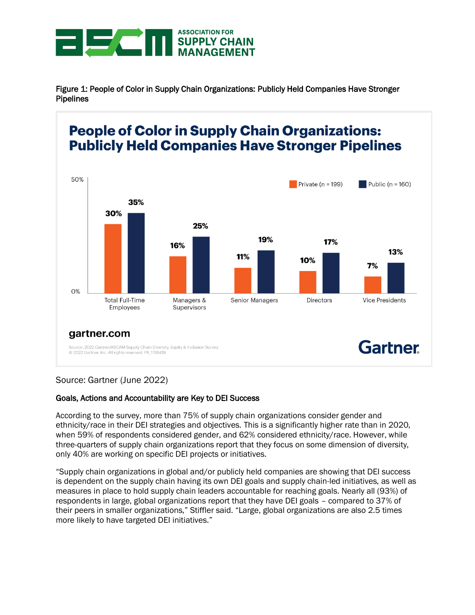

Figure 1: People of Color in Supply Chain Organizations: Publicly Held Companies Have Stronger Pipelines

#### **People of Color in Supply Chain Organizations: Publicly Held Companies Have Stronger Pipelines** 50% Private ( $n = 199$ ) Public ( $n = 160$ ) 35% 30% 25% 19% 17% 16% 13% 11% 10%  $7%$ 0% **Directors Total Full-Time Vice Presidents** Managers & Senior Managers Employees Supervisors gartner.com Gartner Source: 2022 Gartner/ASCAM Supply Chain Diversity, Equity & Inclusion Survey © 2022 Gartner, Inc. All rights reserved. PR\_1736419

# Source: Gartner (June 2022)

# Goals, Actions and Accountability are Key to DEI Success

According to the survey, more than 75% of supply chain organizations consider gender and ethnicity/race in their DEI strategies and objectives. This is a significantly higher rate than in 2020, when 59% of respondents considered gender, and 62% considered ethnicity/race. However, while three-quarters of supply chain organizations report that they focus on some dimension of diversity, only 40% are working on specific DEI projects or initiatives.

"Supply chain organizations in global and/or publicly held companies are showing that DEI success is dependent on the supply chain having its own DEI goals and supply chain-led initiatives, as well as measures in place to hold supply chain leaders accountable for reaching goals. Nearly all (93%) of respondents in large, global organizations report that they have DEI goals – compared to 37% of their peers in smaller organizations," Stiffler said. "Large, global organizations are also 2.5 times more likely to have targeted DEI initiatives."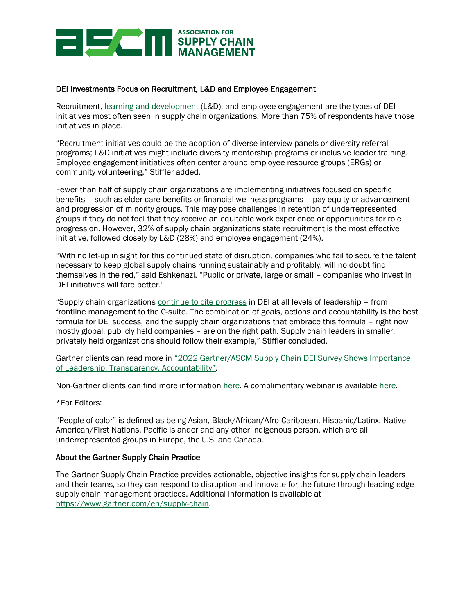

## DEI Investments Focus on Recruitment, L&D and Employee Engagement

Recruitment, [learning and development](https://www.gartner.com/en/newsroom/press-releases/2022-06-07-gartner-announces-rankings-of-the-2022-north-american-supply-chain-undergraduate-university-programs) (L&D), and employee engagement are the types of DEI initiatives most often seen in supply chain organizations. More than 75% of respondents have those initiatives in place.

"Recruitment initiatives could be the adoption of diverse interview panels or diversity referral programs; L&D initiatives might include diversity mentorship programs or inclusive leader training. Employee engagement initiatives often center around employee resource groups (ERGs) or community volunteering," Stiffler added.

Fewer than half of supply chain organizations are implementing initiatives focused on specific benefits – such as elder care benefits or financial wellness programs – pay equity or advancement and progression of minority groups. This may pose challenges in retention of underrepresented groups if they do not feel that they receive an equitable work experience or opportunities for role progression. However, 32% of supply chain organizations state recruitment is the most effective initiative, followed closely by L&D (28%) and employee engagement (24%).

"With no let-up in sight for this continued state of disruption, companies who fail to secure the talent necessary to keep global supply chains running sustainably and profitably, will no doubt find themselves in the red," said Eshkenazi. "Public or private, large or small – companies who invest in DEI initiatives will fare better."

"Supply chain organizations [continue to cite progress](https://www.gartner.com/en/newsroom/press-releases/2021-03-30-gartner-survey-finds-over-half-of-supply-chain-organizations-have-dei-initiatives-but-only-23-percent-commit-to-formal-targets) in DEI at all levels of leadership – from frontline management to the C-suite. The combination of goals, actions and accountability is the best formula for DEI success, and the supply chain organizations that embrace this formula – right now mostly global, publicly held companies – are on the right path. Supply chain leaders in smaller, privately held organizations should follow their example," Stiffler concluded.

Gartner clients can read more in ["2022 Gartner/ASCM Supply Chain DEI Survey Shows Importance](https://www.gartner.com/document/4014552)  [of Leadership, Transparency, Accountability"](https://www.gartner.com/document/4014552).

Non-Gartner clients can find more information [here.](https://www.gartner.com/webinar/4011261) A complimentary webinar is available here.

\*For Editors:

"People of color" is defined as being Asian, Black/African/Afro-Caribbean, Hispanic/Latinx, Native American/First Nations, Pacific Islander and any other indigenous person, which are all underrepresented groups in Europe, the U.S. and Canada.

#### About the Gartner Supply Chain Practice

The Gartner Supply Chain Practice provides actionable, objective insights for supply chain leaders and their teams, so they can respond to disruption and innovate for the future through leading-edge supply chain management practices. Additional information is available at [https://www.gartner.com/en/supply-chain.](https://www.gartner.com/en/supply-chain)